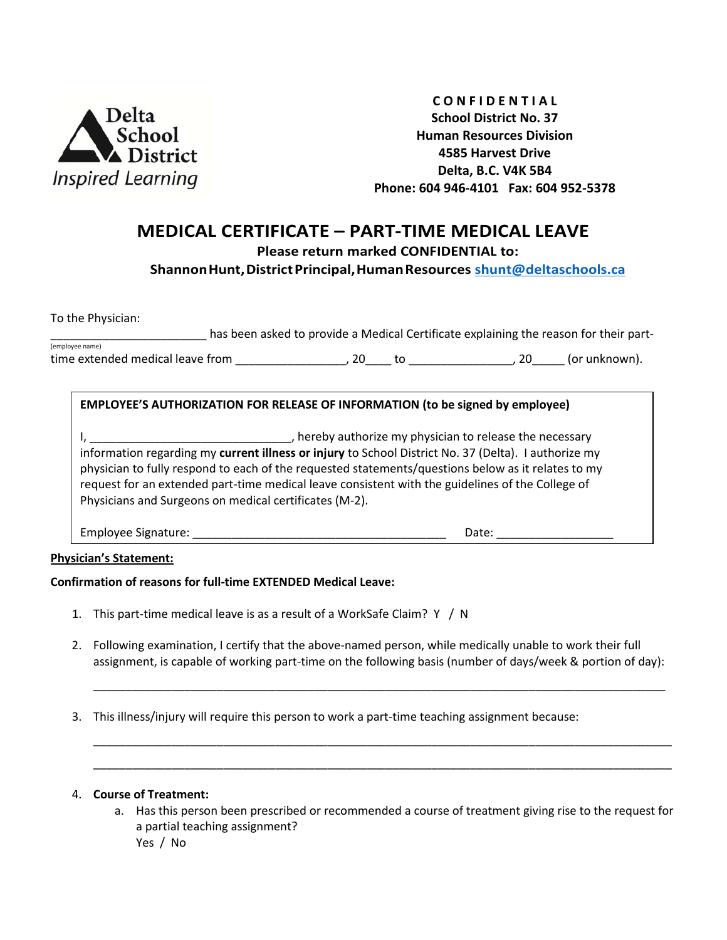

**C O N F I D E N T I A L School District No. 37 Human Resources Division 4585 Harvest Drive Delta, B.C. V4K 5B4 Phone: 604 946-4101 Fax: 604 952-5378**

# **MEDICAL CERTIFICATE – PART-TIME MEDICAL LEAVE**

**Please return marked CONFIDENTIAL to:** 

**ShannonHunt,DistrictPrincipal,HumanResources [shunt@deltaschools.ca](mailto:shunt@deltaschools.ca)**

To the Physician:

has been asked to provide a Medical Certificate explaining the reason for their part-(employee name)

time extended medical leave from \_\_\_\_\_\_\_\_\_\_\_\_\_\_\_\_\_, 20\_\_\_\_ to \_\_\_\_\_\_\_\_\_\_\_\_\_\_\_\_, 20\_\_\_\_\_ (or unknown).

## **EMPLOYEE'S AUTHORIZATION FOR RELEASE OF INFORMATION (to be signed by employee)**

I, thereby authorize my physician to release the necessary of the necessary information regarding my **current illness or injury** to School District No. 37 (Delta). I authorize my physician to fully respond to each of the requested statements/questions below as it relates to my request for an extended part-time medical leave consistent with the guidelines of the College of Physicians and Surgeons on medical certificates (M-2).

Employee Signature: \_\_\_\_\_\_\_\_\_\_\_\_\_\_\_\_\_\_\_\_\_\_\_\_\_\_\_\_\_\_\_\_\_\_\_\_\_\_\_ Date: \_\_\_\_\_\_\_\_\_\_\_\_\_\_\_\_\_\_

### **Physician's Statement:**

### **Confirmation of reasons for full-time EXTENDED Medical Leave:**

- 1. This part-time medical leave is as a result of a WorkSafe Claim? Y / N
- 2. Following examination, I certify that the above-named person, while medically unable to work their full assignment, is capable of working part-time on the following basis (number of days/week & portion of day):

\_\_\_\_\_\_\_\_\_\_\_\_\_\_\_\_\_\_\_\_\_\_\_\_\_\_\_\_\_\_\_\_\_\_\_\_\_\_\_\_\_\_\_\_\_\_\_\_\_\_\_\_\_\_\_\_\_\_\_\_\_\_\_\_\_\_\_\_\_\_\_\_\_\_\_\_\_\_\_\_\_\_\_\_\_\_\_\_

\_\_\_\_\_\_\_\_\_\_\_\_\_\_\_\_\_\_\_\_\_\_\_\_\_\_\_\_\_\_\_\_\_\_\_\_\_\_\_\_\_\_\_\_\_\_\_\_\_\_\_\_\_\_\_\_\_\_\_\_\_\_\_\_\_\_\_\_\_\_\_\_\_\_\_\_\_\_\_\_\_\_\_\_\_\_\_\_\_ \_\_\_\_\_\_\_\_\_\_\_\_\_\_\_\_\_\_\_\_\_\_\_\_\_\_\_\_\_\_\_\_\_\_\_\_\_\_\_\_\_\_\_\_\_\_\_\_\_\_\_\_\_\_\_\_\_\_\_\_\_\_\_\_\_\_\_\_\_\_\_\_\_\_\_\_\_\_\_\_\_\_\_\_\_\_\_\_\_

3. This illness/injury will require this person to work a part-time teaching assignment because:

### 4. **Course of Treatment:**

a. Has this person been prescribed or recommended a course of treatment giving rise to the request for a partial teaching assignment? Yes / No